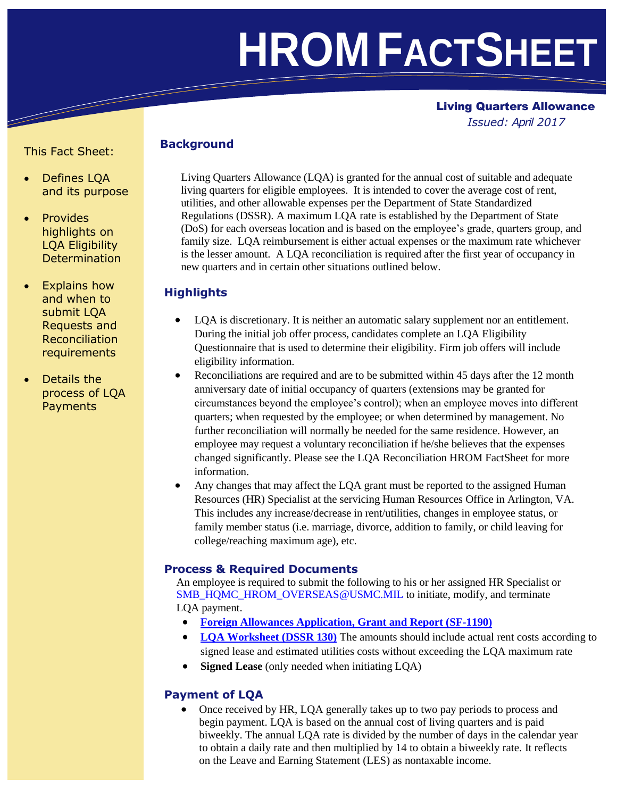# **HROM FACTSHEET**

# Living Quarters Allowance

 *Issued: April 2017*

# This Fact Sheet: **Background**

- Defines LQA and its purpose
- **Provides** highlights on LQA Eligibility **Determination**
- Explains how and when to submit LQA Requests and Reconciliation requirements
- Details the process of LQA **Payments**

Living Quarters Allowance (LQA) is granted for the annual cost of suitable and adequate living quarters for eligible employees. It is intended to cover the average cost of rent, utilities, and other allowable expenses per the Department of State Standardized Regulations (DSSR). A maximum LQA rate is established by the Department of State (DoS) for each overseas location and is based on the employee's grade, quarters group, and family size. LQA reimbursement is either actual expenses or the maximum rate whichever is the lesser amount. A LQA reconciliation is required after the first year of occupancy in new quarters and in certain other situations outlined below.

# **Highlights**

- LQA is discretionary. It is neither an automatic salary supplement nor an entitlement. During the initial job offer process, candidates complete an LQA Eligibility Questionnaire that is used to determine their eligibility. Firm job offers will include eligibility information.
- Reconciliations are required and are to be submitted within 45 days after the 12 month anniversary date of initial occupancy of quarters (extensions may be granted for circumstances beyond the employee's control); when an employee moves into different quarters; when requested by the employee; or when determined by management. No further reconciliation will normally be needed for the same residence. However, an employee may request a voluntary reconciliation if he/she believes that the expenses changed significantly. Please see the LQA Reconciliation HROM FactSheet for more information.
- Any changes that may affect the LQA grant must be reported to the assigned Human Resources (HR) Specialist at the servicing Human Resources Office in Arlington, VA. This includes any increase/decrease in rent/utilities, changes in employee status, or family member status (i.e. marriage, divorce, addition to family, or child leaving for college/reaching maximum age), etc.

#### **Process & Required Documents**

An employee is required to submit the following to his or her assigned HR Specialist or [SMB\\_HQMC\\_HROM\\_OVERSEAS@USMC.MIL](mailto:SMB_HQMC_HROM_OVERSEAS@USMC.MIL) to initiate, modify, and terminate LQA payment.

- **[Foreign Allowances Application, Grant and Report \(SF-1190\)](https://www.state.gov/documents/organization/80162.pdf)**
- **LQA [Worksheet \(DSSR 130\)](https://www.state.gov/documents/organization/142005.pdf)** The amounts should include actual rent costs according to signed lease and estimated utilities costs without exceeding the LQA maximum rate
- **Signed Lease** (only needed when initiating LQA)

# **Payment of LQA**

 Once received by HR, LQA generally takes up to two pay periods to process and begin payment. LQA is based on the annual cost of living quarters and is paid biweekly. The annual LQA rate is divided by the number of days in the calendar year to obtain a daily rate and then multiplied by 14 to obtain a biweekly rate. It reflects on the Leave and Earning Statement (LES) as nontaxable income.